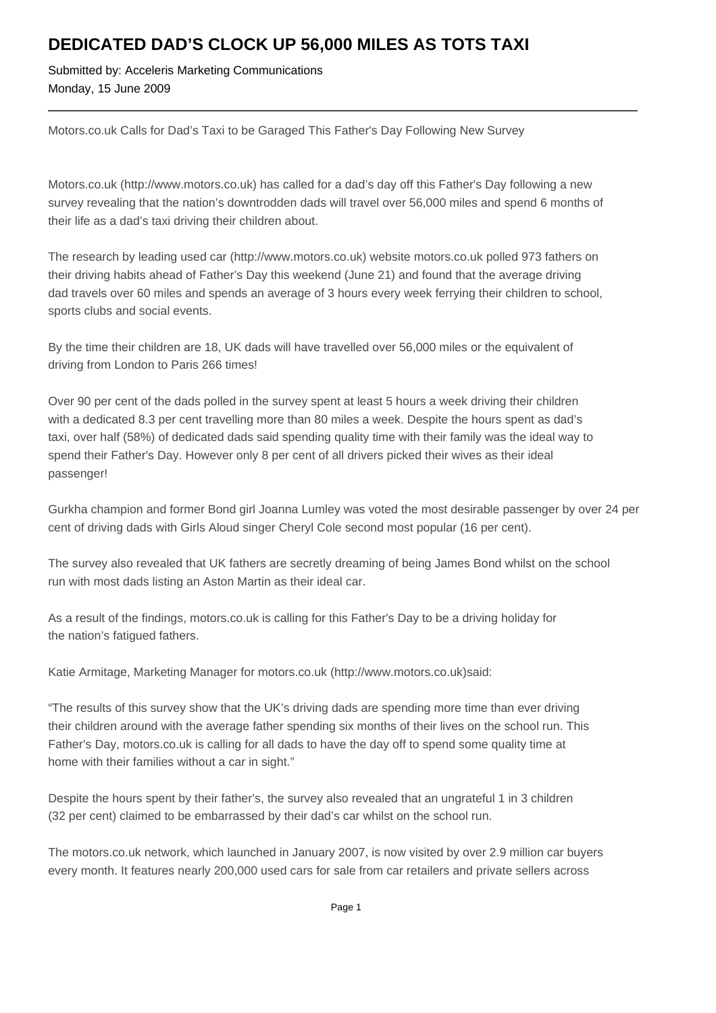## **DEDICATED DAD'S CLOCK UP 56,000 MILES AS TOTS TAXI**

Submitted by: Acceleris Marketing Communications Monday, 15 June 2009

Motors.co.uk Calls for Dad's Taxi to be Garaged This Father's Day Following New Survey

Motors.co.uk (http://www.motors.co.uk) has called for a dad's day off this Father's Day following a new survey revealing that the nation's downtrodden dads will travel over 56,000 miles and spend 6 months of their life as a dad's taxi driving their children about.

The research by leading used car (http://www.motors.co.uk) website motors.co.uk polled 973 fathers on their driving habits ahead of Father's Day this weekend (June 21) and found that the average driving dad travels over 60 miles and spends an average of 3 hours every week ferrying their children to school, sports clubs and social events.

By the time their children are 18, UK dads will have travelled over 56,000 miles or the equivalent of driving from London to Paris 266 times!

Over 90 per cent of the dads polled in the survey spent at least 5 hours a week driving their children with a dedicated 8.3 per cent travelling more than 80 miles a week. Despite the hours spent as dad's taxi, over half (58%) of dedicated dads said spending quality time with their family was the ideal way to spend their Father's Day. However only 8 per cent of all drivers picked their wives as their ideal passenger!

Gurkha champion and former Bond girl Joanna Lumley was voted the most desirable passenger by over 24 per cent of driving dads with Girls Aloud singer Cheryl Cole second most popular (16 per cent).

The survey also revealed that UK fathers are secretly dreaming of being James Bond whilst on the school run with most dads listing an Aston Martin as their ideal car.

As a result of the findings, motors.co.uk is calling for this Father's Day to be a driving holiday for the nation's fatigued fathers.

Katie Armitage, Marketing Manager for motors.co.uk (http://www.motors.co.uk)said:

"The results of this survey show that the UK's driving dads are spending more time than ever driving their children around with the average father spending six months of their lives on the school run. This Father's Day, motors.co.uk is calling for all dads to have the day off to spend some quality time at home with their families without a car in sight."

Despite the hours spent by their father's, the survey also revealed that an ungrateful 1 in 3 children (32 per cent) claimed to be embarrassed by their dad's car whilst on the school run.

The motors.co.uk network, which launched in January 2007, is now visited by over 2.9 million car buyers every month. It features nearly 200,000 used cars for sale from car retailers and private sellers across